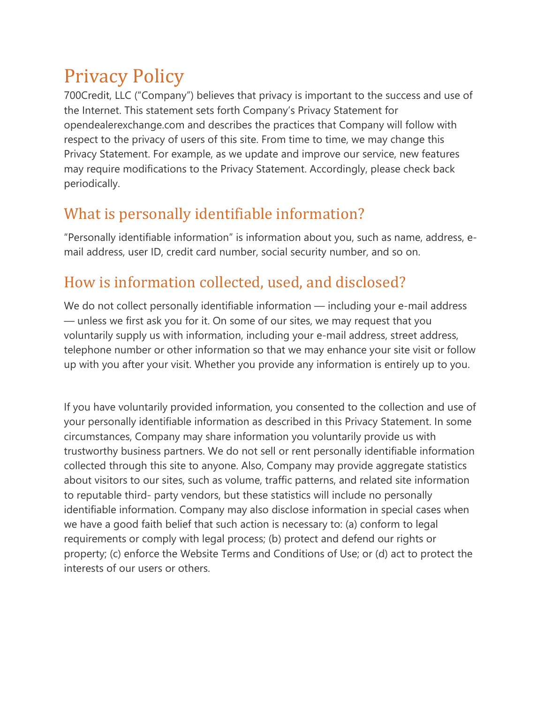# Privacy Policy

700Credit, LLC ("Company") believes that privacy is important to the success and use of the Internet. This statement sets forth Company's Privacy Statement for opendealerexchange.com and describes the practices that Company will follow with respect to the privacy of users of this site. From time to time, we may change this Privacy Statement. For example, as we update and improve our service, new features may require modifications to the Privacy Statement. Accordingly, please check back periodically.

## What is personally identifiable information?

"Personally identifiable information" is information about you, such as name, address, email address, user ID, credit card number, social security number, and so on.

### How is information collected, used, and disclosed?

We do not collect personally identifiable information — including your e-mail address — unless we first ask you for it. On some of our sites, we may request that you voluntarily supply us with information, including your e-mail address, street address, telephone number or other information so that we may enhance your site visit or follow up with you after your visit. Whether you provide any information is entirely up to you.

If you have voluntarily provided information, you consented to the collection and use of your personally identifiable information as described in this Privacy Statement. In some circumstances, Company may share information you voluntarily provide us with trustworthy business partners. We do not sell or rent personally identifiable information collected through this site to anyone. Also, Company may provide aggregate statistics about visitors to our sites, such as volume, traffic patterns, and related site information to reputable third- party vendors, but these statistics will include no personally identifiable information. Company may also disclose information in special cases when we have a good faith belief that such action is necessary to: (a) conform to legal requirements or comply with legal process; (b) protect and defend our rights or property; (c) enforce the Website Terms and Conditions of Use; or (d) act to protect the interests of our users or others.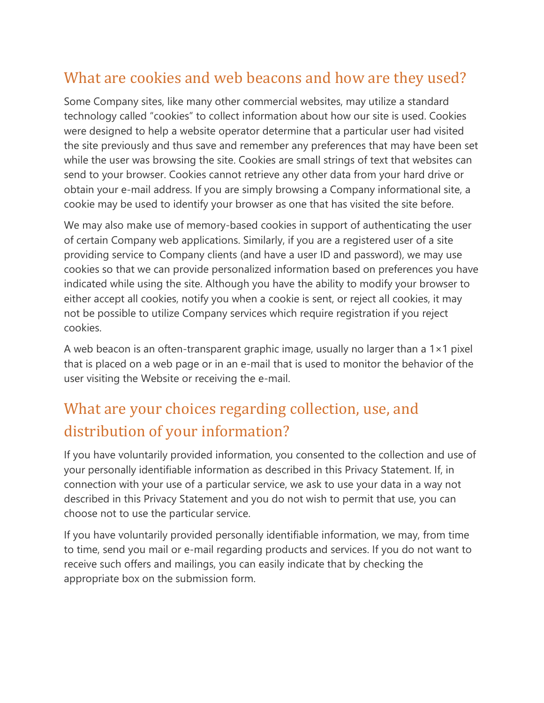#### What are cookies and web beacons and how are they used?

Some Company sites, like many other commercial websites, may utilize a standard technology called "cookies" to collect information about how our site is used. Cookies were designed to help a website operator determine that a particular user had visited the site previously and thus save and remember any preferences that may have been set while the user was browsing the site. Cookies are small strings of text that websites can send to your browser. Cookies cannot retrieve any other data from your hard drive or obtain your e-mail address. If you are simply browsing a Company informational site, a cookie may be used to identify your browser as one that has visited the site before.

We may also make use of memory-based cookies in support of authenticating the user of certain Company web applications. Similarly, if you are a registered user of a site providing service to Company clients (and have a user ID and password), we may use cookies so that we can provide personalized information based on preferences you have indicated while using the site. Although you have the ability to modify your browser to either accept all cookies, notify you when a cookie is sent, or reject all cookies, it may not be possible to utilize Company services which require registration if you reject cookies.

A web beacon is an often-transparent graphic image, usually no larger than a  $1 \times 1$  pixel that is placed on a web page or in an e-mail that is used to monitor the behavior of the user visiting the Website or receiving the e-mail.

## What are your choices regarding collection, use, and distribution of your information?

If you have voluntarily provided information, you consented to the collection and use of your personally identifiable information as described in this Privacy Statement. If, in connection with your use of a particular service, we ask to use your data in a way not described in this Privacy Statement and you do not wish to permit that use, you can choose not to use the particular service.

If you have voluntarily provided personally identifiable information, we may, from time to time, send you mail or e-mail regarding products and services. If you do not want to receive such offers and mailings, you can easily indicate that by checking the appropriate box on the submission form.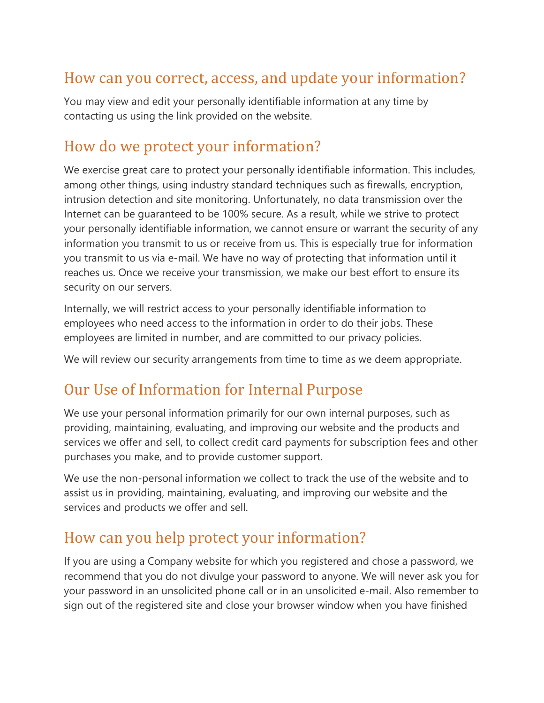#### How can you correct, access, and update your information?

You may view and edit your personally identifiable information at any time by contacting us using the link provided on the website.

#### How do we protect your information?

We exercise great care to protect your personally identifiable information. This includes, among other things, using industry standard techniques such as firewalls, encryption, intrusion detection and site monitoring. Unfortunately, no data transmission over the Internet can be guaranteed to be 100% secure. As a result, while we strive to protect your personally identifiable information, we cannot ensure or warrant the security of any information you transmit to us or receive from us. This is especially true for information you transmit to us via e-mail. We have no way of protecting that information until it reaches us. Once we receive your transmission, we make our best effort to ensure its security on our servers.

Internally, we will restrict access to your personally identifiable information to employees who need access to the information in order to do their jobs. These employees are limited in number, and are committed to our privacy policies.

We will review our security arrangements from time to time as we deem appropriate.

#### Our Use of Information for Internal Purpose

We use your personal information primarily for our own internal purposes, such as providing, maintaining, evaluating, and improving our website and the products and services we offer and sell, to collect credit card payments for subscription fees and other purchases you make, and to provide customer support.

We use the non-personal information we collect to track the use of the website and to assist us in providing, maintaining, evaluating, and improving our website and the services and products we offer and sell.

#### How can you help protect your information?

If you are using a Company website for which you registered and chose a password, we recommend that you do not divulge your password to anyone. We will never ask you for your password in an unsolicited phone call or in an unsolicited e-mail. Also remember to sign out of the registered site and close your browser window when you have finished